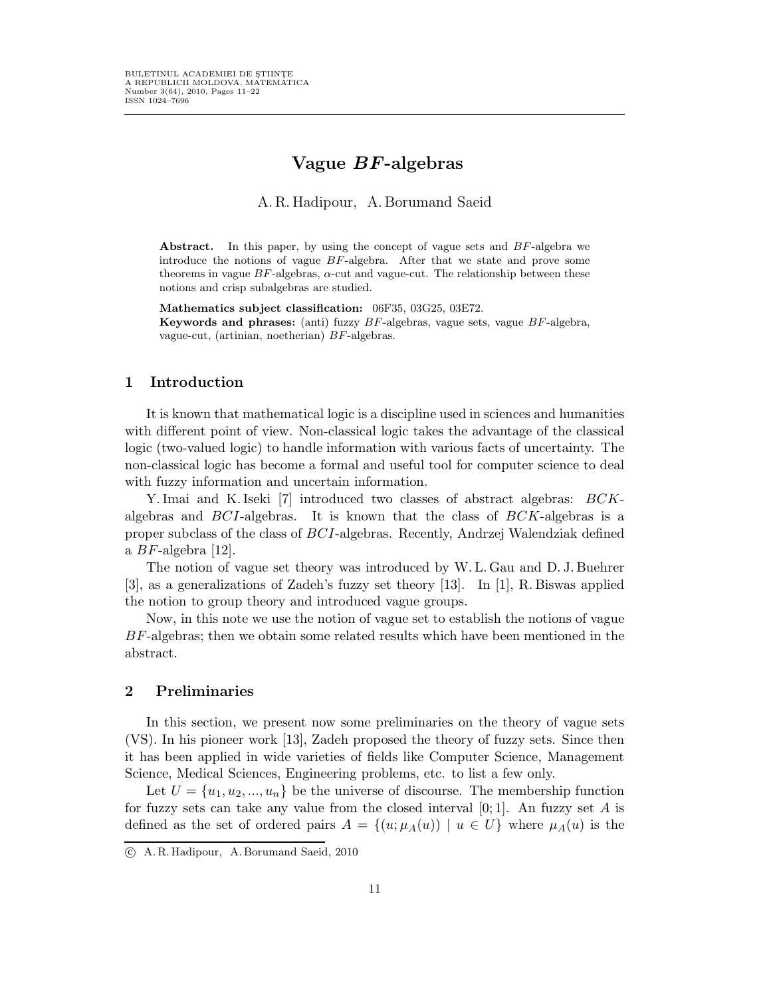# Vague BF-algebras

A.R.Hadipour, A.Borumand Saeid

Abstract. In this paper, by using the concept of vague sets and  $BF$ -algebra we introduce the notions of vague  $BF$ -algebra. After that we state and prove some theorems in vague  $BF$ -algebras,  $\alpha$ -cut and vague-cut. The relationship between these notions and crisp subalgebras are studied.

Mathematics subject classification: 06F35, 03G25, 03E72. **Keywords and phrases:** (anti) fuzzy  $BF$ -algebras, vague sets, vague  $BF$ -algebra, vague-cut, (artinian, noetherian) BF-algebras.

## 1 Introduction

It is known that mathematical logic is a discipline used in sciences and humanities with different point of view. Non-classical logic takes the advantage of the classical logic (two-valued logic) to handle information with various facts of uncertainty. The non-classical logic has become a formal and useful tool for computer science to deal with fuzzy information and uncertain information.

Y. Imai and K. Iseki [7] introduced two classes of abstract algebras: BCKalgebras and  $BCI$ -algebras. It is known that the class of  $BCK$ -algebras is a proper subclass of the class of BCI-algebras. Recently, Andrzej Walendziak defined a  $BF$ -algebra [12].

The notion of vague set theory was introduced by W. L. Gau and D. J. Buehrer [3], as a generalizations of Zadeh's fuzzy set theory [13]. In [1], R. Biswas applied the notion to group theory and introduced vague groups.

Now, in this note we use the notion of vague set to establish the notions of vague BF-algebras; then we obtain some related results which have been mentioned in the abstract.

# 2 Preliminaries

In this section, we present now some preliminaries on the theory of vague sets (VS). In his pioneer work [13], Zadeh proposed the theory of fuzzy sets. Since then it has been applied in wide varieties of fields like Computer Science, Management Science, Medical Sciences, Engineering problems, etc. to list a few only.

Let  $U = \{u_1, u_2, ..., u_n\}$  be the universe of discourse. The membership function for fuzzy sets can take any value from the closed interval  $[0,1]$ . An fuzzy set A is defined as the set of ordered pairs  $A = \{(u; \mu_A(u)) \mid u \in U\}$  where  $\mu_A(u)$  is the

c A. R. Hadipour, A. Borumand Saeid, 2010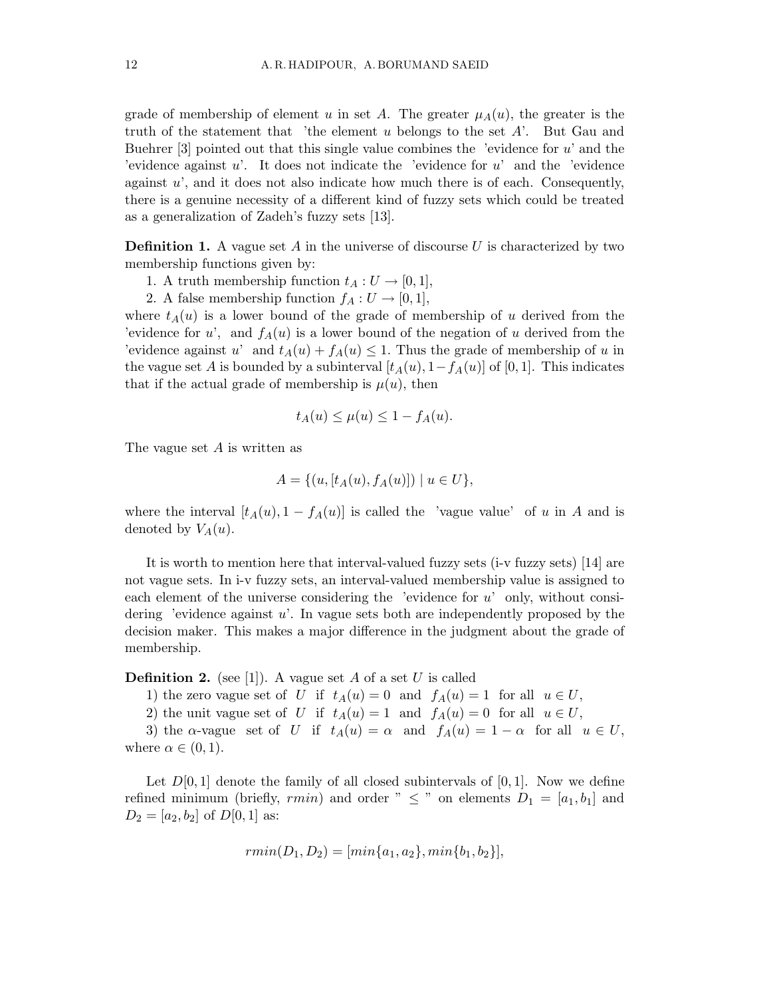grade of membership of element u in set A. The greater  $\mu_A(u)$ , the greater is the truth of the statement that 'the element u belongs to the set  $A'$ . But Gau and Buehrer  $[3]$  pointed out that this single value combines the 'evidence for u' and the 'evidence against  $u'$ . It does not indicate the 'evidence for  $u'$  and the 'evidence against  $u'$ , and it does not also indicate how much there is of each. Consequently, there is a genuine necessity of a different kind of fuzzy sets which could be treated as a generalization of Zadeh's fuzzy sets [13].

**Definition 1.** A vague set A in the universe of discourse U is characterized by two membership functions given by:

- 1. A truth membership function  $t_A: U \rightarrow [0,1],$
- 2. A false membership function  $f_A: U \to [0,1],$

where  $t_A(u)$  is a lower bound of the grade of membership of u derived from the 'evidence for u', and  $f_A(u)$  is a lower bound of the negation of u derived from the 'evidence against u' and  $t_A(u) + f_A(u) \leq 1$ . Thus the grade of membership of u in the vague set A is bounded by a subinterval  $[t_A(u), 1-f_A(u)]$  of [0, 1]. This indicates that if the actual grade of membership is  $\mu(u)$ , then

$$
t_A(u) \le \mu(u) \le 1 - f_A(u).
$$

The vague set A is written as

$$
A = \{ (u, [t_A(u), f_A(u)]) \mid u \in U \},\
$$

where the interval  $[t_A(u), 1 - f_A(u)]$  is called the 'vague value' of u in A and is denoted by  $V_A(u)$ .

It is worth to mention here that interval-valued fuzzy sets (i-v fuzzy sets) [14] are not vague sets. In i-v fuzzy sets, an interval-valued membership value is assigned to each element of the universe considering the 'evidence for  $u'$  only, without considering 'evidence against u'. In vague sets both are independently proposed by the decision maker. This makes a major difference in the judgment about the grade of membership.

**Definition 2.** (see [1]). A vague set A of a set U is called

- 1) the zero vague set of U if  $t_A(u) = 0$  and  $f_A(u) = 1$  for all  $u \in U$ ,
- 2) the unit vague set of U if  $t_A(u) = 1$  and  $f_A(u) = 0$  for all  $u \in U$ ,

3) the  $\alpha$ -vague set of U if  $t_A(u) = \alpha$  and  $f_A(u) = 1 - \alpha$  for all  $u \in U$ , where  $\alpha \in (0,1)$ .

Let  $D[0,1]$  denote the family of all closed subintervals of  $[0,1]$ . Now we define refined minimum (briefly, rmin) and order "  $\leq$  " on elements  $D_1 = [a_1, b_1]$  and  $D_2 = [a_2, b_2]$  of  $D[0, 1]$  as:

$$
rmin(D_1, D_2) = [min\{a_1, a_2\}, min\{b_1, b_2\}],
$$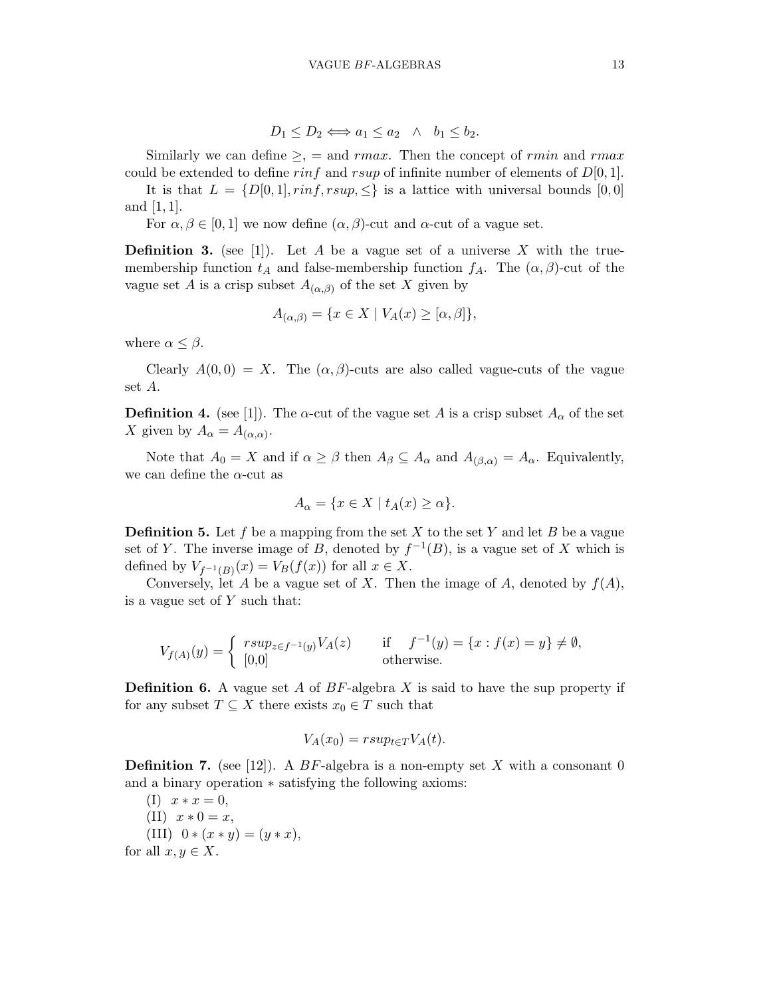$$
D_1 \le D_2 \Longleftrightarrow a_1 \le a_2 \quad \wedge \quad b_1 \le b_2.
$$

Similarly we can define  $\geq$ ,  $=$  and rmax. Then the concept of rmin and rmax. could be extended to define rinf and rsup of infinite number of elements of  $D[0, 1]$ .

It is that  $L = \{D[0, 1], \text{rinf}, \text{rsup}, \leq\}$  is a lattice with universal bounds  $[0, 0]$ and  $[1, 1]$ .

For  $\alpha, \beta \in [0, 1]$  we now define  $(\alpha, \beta)$ -cut and  $\alpha$ -cut of a vague set.

**Definition 3.** (see [1]). Let A be a vague set of a universe X with the truemembership function  $t_A$  and false-membership function  $f_A$ . The  $(\alpha, \beta)$ -cut of the vague set A is a crisp subset  $A_{(\alpha,\beta)}$  of the set X given by

$$
A_{(\alpha,\beta)} = \{ x \in X \mid V_A(x) \geq [\alpha,\beta] \},
$$

where  $\alpha \leq \beta$ .

Clearly  $A(0,0) = X$ . The  $(\alpha, \beta)$ -cuts are also called vague-cuts of the vague set A.

**Definition 4.** (see [1]). The  $\alpha$ -cut of the vague set A is a crisp subset  $A_{\alpha}$  of the set X given by  $A_{\alpha} = A_{(\alpha,\alpha)}$ .

Note that  $A_0 = X$  and if  $\alpha \geq \beta$  then  $A_\beta \subseteq A_\alpha$  and  $A_{(\beta,\alpha)} = A_\alpha$ . Equivalently, we can define the  $\alpha$ -cut as

$$
A_{\alpha} = \{ x \in X \mid t_A(x) \ge \alpha \}.
$$

**Definition 5.** Let f be a mapping from the set X to the set Y and let B be a vague set of Y. The inverse image of B, denoted by  $f^{-1}(B)$ , is a vague set of X which is defined by  $V_{f^{-1}(B)}(x) = V_B(f(x))$  for all  $x \in X$ .

Conversely, let A be a vague set of X. Then the image of A, denoted by  $f(A)$ , is a vague set of  $Y$  such that:

$$
V_{f(A)}(y) = \begin{cases} \text{rsup}_{z \in f^{-1}(y)} V_A(z) & \text{if } f^{-1}(y) = \{x : f(x) = y\} \neq \emptyset, \\ [0,0] & \text{otherwise.} \end{cases}
$$

**Definition 6.** A vague set A of  $BF$ -algebra X is said to have the sup property if for any subset  $T \subseteq X$  there exists  $x_0 \in T$  such that

$$
V_A(x_0) = rsup_{t \in T} V_A(t).
$$

**Definition 7.** (see [12]). A BF-algebra is a non-empty set X with a consonant 0 and a binary operation ∗ satisfying the following axioms:

 $(I)$   $x * x = 0$ , (II)  $x * 0 = x$ , (III)  $0 * (x * y) = (y * x),$ for all  $x, y \in X$ .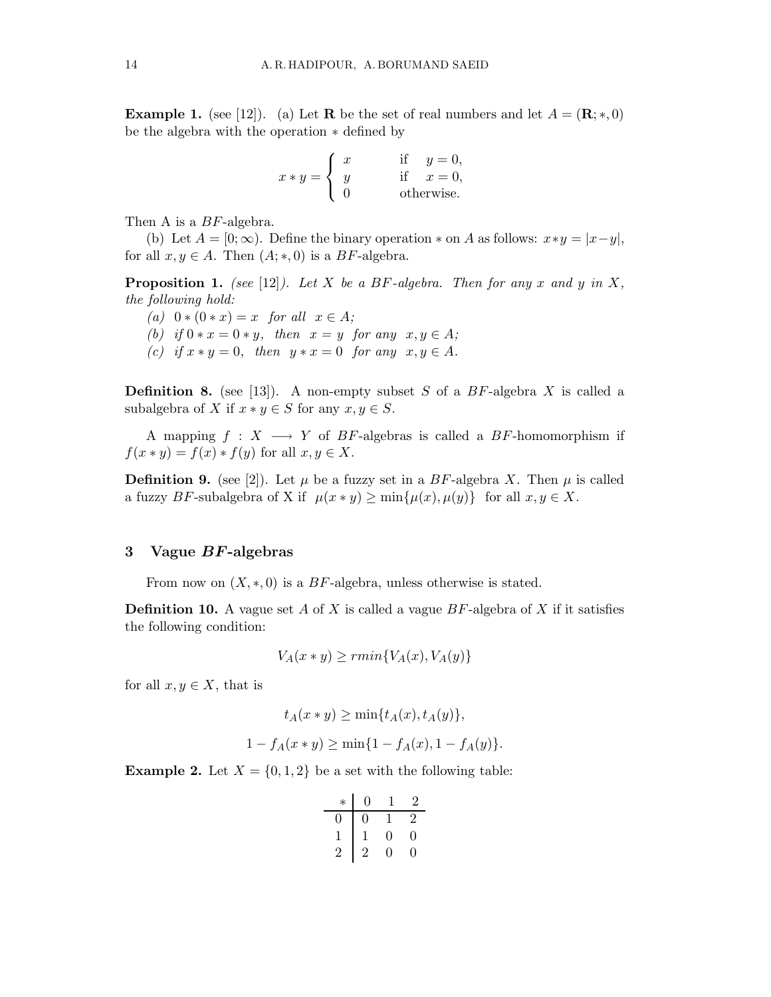**Example 1.** (see [12]). (a) Let **R** be the set of real numbers and let  $A = (\mathbf{R}; *, 0)$ be the algebra with the operation ∗ defined by

$$
x * y = \begin{cases} x & \text{if } y = 0, \\ y & \text{if } x = 0, \\ 0 & \text{otherwise.} \end{cases}
$$

Then A is a *BF*-algebra.

(b) Let  $A = [0; \infty)$ . Define the binary operation  $*$  on A as follows:  $x*y = |x-y|$ , for all  $x, y \in A$ . Then  $(A; *, 0)$  is a BF-algebra.

**Proposition 1.** (see [12]). Let X be a BF-algebra. Then for any x and y in X, the following hold:

- (a)  $0 * (0 * x) = x$  for all  $x \in A$ ;
- (b) if  $0 * x = 0 * y$ , then  $x = y$  for any  $x, y \in A$ ;
- (c) if  $x * y = 0$ , then  $y * x = 0$  for any  $x, y \in A$ .

**Definition 8.** (see [13]). A non-empty subset S of a  $BF$ -algebra X is called a subalgebra of X if  $x * y \in S$  for any  $x, y \in S$ .

A mapping  $f : X \longrightarrow Y$  of BF-algebras is called a BF-homomorphism if  $f(x * y) = f(x) * f(y)$  for all  $x, y \in X$ .

**Definition 9.** (see [2]). Let  $\mu$  be a fuzzy set in a BF-algebra X. Then  $\mu$  is called a fuzzy BF-subalgebra of X if  $\mu(x * y) \ge \min{\mu(x), \mu(y)}$  for all  $x, y \in X$ .

#### 3 Vague  $BF$ -algebras

From now on  $(X, * , 0)$  is a BF-algebra, unless otherwise is stated.

**Definition 10.** A vague set A of X is called a vague  $BF$ -algebra of X if it satisfies the following condition:

$$
V_A(x * y) \ge r \min\{V_A(x), V_A(y)\}\
$$

for all  $x, y \in X$ , that is

$$
t_A(x * y) \ge \min\{t_A(x), t_A(y)\},
$$
  

$$
1 - f_A(x * y) \ge \min\{1 - f_A(x), 1 - f_A(y)\}.
$$

**Example 2.** Let  $X = \{0, 1, 2\}$  be a set with the following table:

| $\ast$ | 0 |   | 2 |
|--------|---|---|---|
|        | 0 |   | 2 |
|        |   | 0 | 0 |
|        | 2 | 0 | 0 |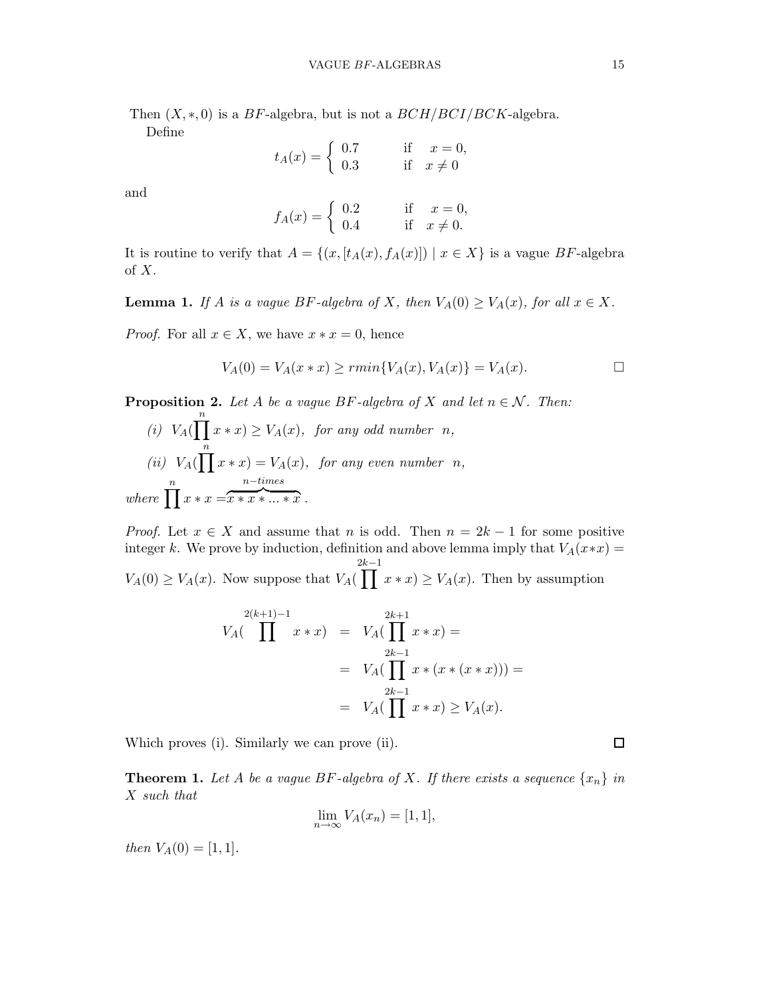Then  $(X,*,0)$  is a BF-algebra, but is not a  $BCH/BCI/BCK$ -algebra. Define

> $t_A(x) = \begin{cases} 0.7 & \text{if } x = 0, \\ 0.3 & \text{if } x \neq 0. \end{cases}$ 0.3 if  $x \neq 0$

and

$$
f_A(x) = \begin{cases} 0.2 & \text{if } x = 0, \\ 0.4 & \text{if } x \neq 0. \end{cases}
$$

It is routine to verify that  $A = \{(x, [t_A(x), f_A(x)]) | x \in X\}$  is a vague BF-algebra of X.

**Lemma 1.** If A is a vague BF-algebra of X, then  $V_A(0) \geq V_A(x)$ , for all  $x \in X$ .

*Proof.* For all  $x \in X$ , we have  $x * x = 0$ , hence

$$
V_A(0) = V_A(x * x) \ge r \min\{V_A(x), V_A(x)\} = V_A(x).
$$

**Proposition 2.** Let A be a vague BF-algebra of X and let  $n \in \mathcal{N}$ . Then:

(i) 
$$
V_A(\prod_n^n x * x) \ge V_A(x)
$$
, for any odd number n,  
\n(ii)  $V_A(\prod_n^n x * x) = V_A(x)$ , for any even number n,  
\nwhere  $\prod_n^n x * x = x * x * ... * x$ .

*Proof.* Let  $x \in X$  and assume that n is odd. Then  $n = 2k - 1$  for some positive integer k. We prove by induction, definition and above lemma imply that  $V_A(x*x) =$  $V_A(0) \geq V_A(x)$ . Now suppose that  $V_A(\prod x * x) \geq V_A(x)$ . Then by assumption  $2k-1$ 

$$
V_A(\prod^{2(k+1)-1} x * x) = V_A(\prod^{2k+1} x * x) =
$$
  
=  $V_A(\prod^{2k-1} x * (x * (x * x))) =$   
=  $V_A(\prod^{2k-1} x * x) \ge V_A(x).$ 

Which proves (i). Similarly we can prove (ii).

**Theorem 1.** Let A be a vague BF-algebra of X. If there exists a sequence  $\{x_n\}$  in X such that

$$
\lim_{n \to \infty} V_A(x_n) = [1, 1],
$$

then  $V_A(0) = [1, 1].$ 

 $\Box$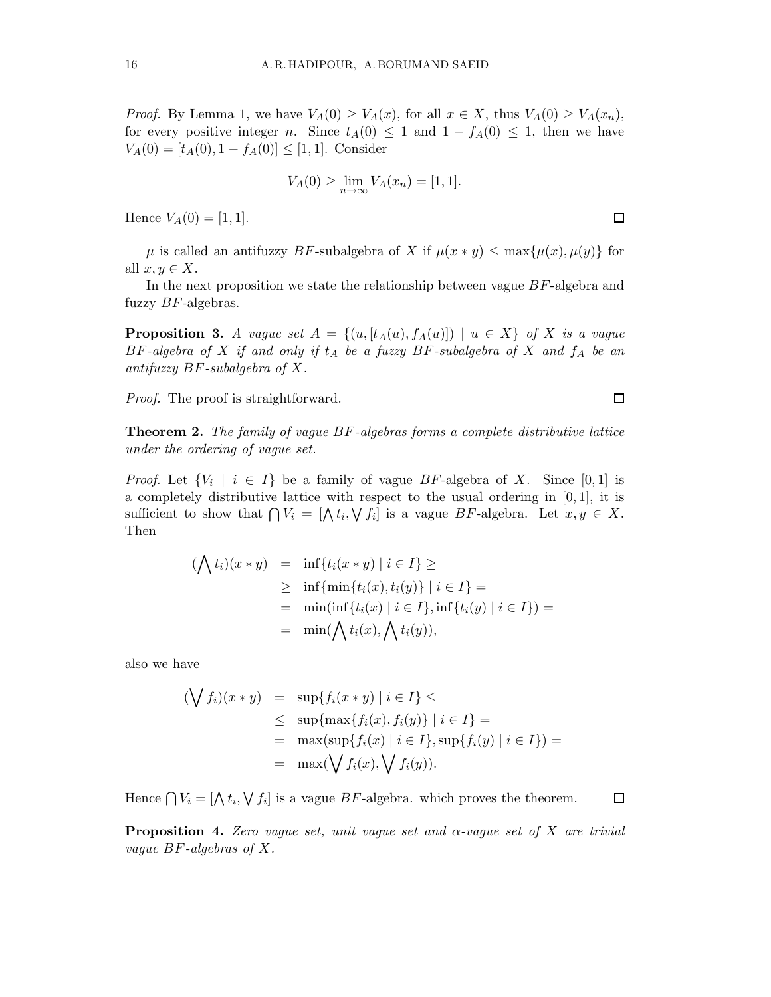*Proof.* By Lemma 1, we have  $V_A(0) \geq V_A(x)$ , for all  $x \in X$ , thus  $V_A(0) \geq V_A(x_n)$ , for every positive integer n. Since  $t_A(0) \leq 1$  and  $1 - f_A(0) \leq 1$ , then we have  $V_A(0) = [t_A(0), 1 - f_A(0)] \leq [1, 1].$  Consider

$$
V_A(0) \ge \lim_{n \to \infty} V_A(x_n) = [1, 1].
$$

Hence  $V_A(0) = [1, 1].$ 

 $\mu$  is called an antifuzzy BF-subalgebra of X if  $\mu(x * y) \leq \max{\mu(x), \mu(y)}$  for all  $x, y \in X$ .

In the next proposition we state the relationship between vague BF-algebra and fuzzy  $BF$ -algebras.

**Proposition 3.** A vague set  $A = \{(u, [t_A(u), f_A(u)]) \mid u \in X\}$  of X is a vague  $BF\text{-}algebra$  of  $X$  if and only if  $t_A$  be a fuzzy  $BF\text{-}subalgebra$  of  $X$  and  $f_A$  be an antifuzzy  $BF$ -subalgebra of X.

Proof. The proof is straightforward.

Theorem 2. The family of vague BF-algebras forms a complete distributive lattice under the ordering of vague set.

*Proof.* Let  $\{V_i \mid i \in I\}$  be a family of vague BF-algebra of X. Since [0,1] is a completely distributive lattice with respect to the usual ordering in  $[0, 1]$ , it is sufficient to show that  $\bigcap V_i = [\bigwedge t_i, \bigvee f_i]$  is a vague BF-algebra. Let  $x, y \in X$ . Then

$$
(\bigwedge t_i)(x * y) = \inf\{t_i(x * y) \mid i \in I\} \ge
$$
  
 
$$
\geq \inf\{\min\{t_i(x), t_i(y)\} \mid i \in I\} =
$$
  
 
$$
= \min(\inf\{t_i(x) \mid i \in I\}, \inf\{t_i(y) \mid i \in I\}) =
$$
  
 
$$
= \min(\bigwedge t_i(x), \bigwedge t_i(y)),
$$

also we have

$$
(\bigvee f_i)(x * y) = \sup\{f_i(x * y) \mid i \in I\} \le
$$
  
\$\le\$ \sup{max{f\_i(x), f\_i(y)} \mid i \in I} =  
= \max(\sup{f\_i(x) \mid i \in I}, \sup{f\_i(y) \mid i \in I}) =  
= \max(\bigvee f\_i(x), \bigvee f\_i(y)).

Hence  $\bigcap V_i = [\bigwedge t_i, \bigvee f_i]$  is a vague  $BF$ -algebra. which proves the theorem.

**Proposition 4.** Zero vague set, unit vague set and  $\alpha$ -vague set of X are trivial vague BF-algebras of X.

 $\Box$ 

 $\Box$ 

 $\Box$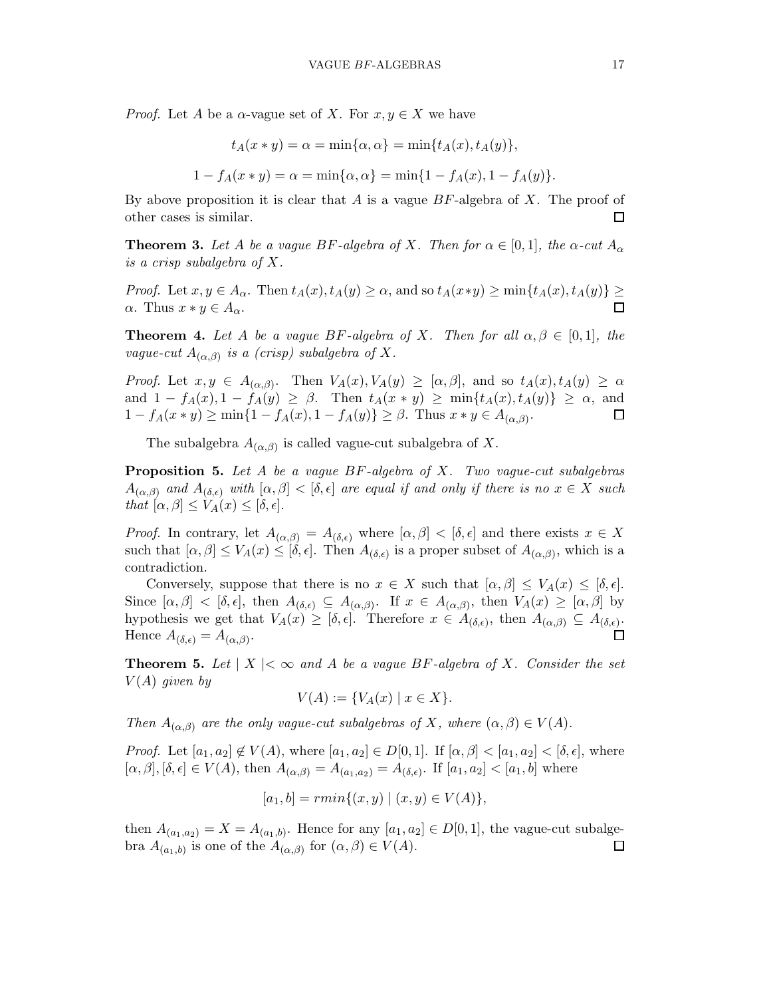*Proof.* Let A be a  $\alpha$ -vague set of X. For  $x, y \in X$  we have

$$
t_A(x * y) = \alpha = \min\{\alpha, \alpha\} = \min\{t_A(x), t_A(y)\},
$$
  

$$
1 - f_A(x * y) = \alpha = \min\{\alpha, \alpha\} = \min\{1 - f_A(x), 1 - f_A(y)\}.
$$

By above proposition it is clear that  $A$  is a vague  $BF$ -algebra of  $X$ . The proof of other cases is similar.  $\Box$ 

**Theorem 3.** Let A be a vague BF-algebra of X. Then for  $\alpha \in [0,1]$ , the  $\alpha$ -cut  $A_{\alpha}$ is a crisp subalgebra of X.

Proof. Let  $x, y \in A_\alpha$ . Then  $t_A(x), t_A(y) \ge \alpha$ , and so  $t_A(x*y) \ge \min\{t_A(x), t_A(y)\} \ge$  $\alpha$ . Thus  $x * y \in A_{\alpha}$ .  $\Box$ 

**Theorem 4.** Let A be a vague BF-algebra of X. Then for all  $\alpha, \beta \in [0, 1]$ , the vague-cut  $A_{(\alpha,\beta)}$  is a (crisp) subalgebra of X.

*Proof.* Let  $x, y \in A_{(\alpha,\beta)}$ . Then  $V_A(x), V_A(y) \geq [\alpha,\beta]$ , and so  $t_A(x), t_A(y) \geq \alpha$ and  $1 - f_A(x)$ ,  $1 - \hat{f}_A(y) \geq \beta$ . Then  $t_A(x * y) \geq \min\{t_A(x), t_A(y)\} \geq \alpha$ , and  $1 - f_A(x * y) \ge \min\{1 - f_A(x), 1 - f_A(y)\} \ge \beta$ . Thus  $x * y \in A_{(\alpha,\beta)}$ . 囗

The subalgebra  $A_{(\alpha,\beta)}$  is called vague-cut subalgebra of X.

**Proposition 5.** Let  $A$  be a vague  $BF$ -algebra of  $X$ . Two vague-cut subalgebras  $A_{(\alpha,\beta)}$  and  $A_{(\delta,\epsilon)}$  with  $[\alpha,\beta]<[\delta,\epsilon]$  are equal if and only if there is no  $x\in X$  such that  $[\alpha, \beta] \leq V_A(x) \leq [\delta, \epsilon].$ 

*Proof.* In contrary, let  $A_{(\alpha,\beta)} = A_{(\delta,\epsilon)}$  where  $[\alpha,\beta] < [\delta,\epsilon]$  and there exists  $x \in X$ such that  $[\alpha, \beta] \leq V_A(x) \leq [\delta, \epsilon]$ . Then  $A_{(\delta, \epsilon)}$  is a proper subset of  $A_{(\alpha, \beta)}$ , which is a contradiction.

Conversely, suppose that there is no  $x \in X$  such that  $[\alpha, \beta] \leq V_A(x) \leq [\delta, \epsilon].$ Since  $[\alpha, \beta] < [\delta, \epsilon]$ , then  $A_{(\delta, \epsilon)} \subseteq A_{(\alpha, \beta)}$ . If  $x \in A_{(\alpha, \beta)}$ , then  $V_A(x) \geq [\alpha, \beta]$  by hypothesis we get that  $V_A(x) \geq [\delta, \epsilon]$ . Therefore  $x \in A_{(\delta,\epsilon)}$ , then  $A_{(\alpha,\beta)} \subseteq A_{(\delta,\epsilon)}$ . Hence  $A_{(\delta,\epsilon)} = A_{(\alpha,\beta)}$ .  $\Box$ 

**Theorem 5.** Let  $|X| < \infty$  and A be a vague BF-algebra of X. Consider the set  $V(A)$  given by

$$
V(A) := \{ V_A(x) \mid x \in X \}.
$$

Then  $A_{(\alpha,\beta)}$  are the only vague-cut subalgebras of X, where  $(\alpha,\beta) \in V(A)$ .

*Proof.* Let  $[a_1, a_2] \notin V(A)$ , where  $[a_1, a_2] \in D[0, 1]$ . If  $[\alpha, \beta] < [a_1, a_2] < [\delta, \epsilon]$ , where  $[\alpha, \beta], [\delta, \epsilon] \in V(A)$ , then  $A_{(\alpha, \beta)} = A_{(a_1, a_2)} = A_{(\delta, \epsilon)}$ . If  $[a_1, a_2] < [a_1, b]$  where

$$
[a_1, b] = rmin\{(x, y) \mid (x, y) \in V(A)\},\
$$

then  $A_{(a_1,a_2)} = X = A_{(a_1,b)}$ . Hence for any  $[a_1,a_2] \in D[0,1]$ , the vague-cut subalgebra  $A_{(a_1,b)}$  is one of the  $A_{(\alpha,\beta)}$  for  $(\alpha,\beta) \in V(A)$ .  $\Box$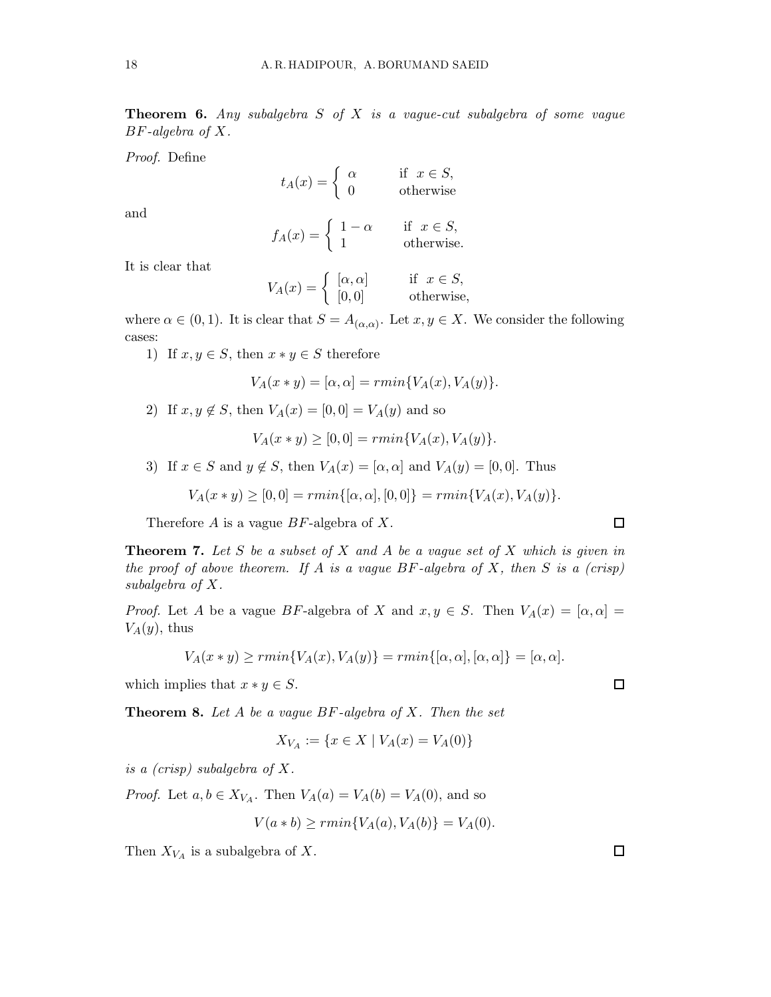**Theorem 6.** Any subalgebra  $S$  of  $X$  is a vague-cut subalgebra of some vague  $BF$ -algebra of  $X$ .

Proof. Define

$$
t_A(x) = \begin{cases} \alpha & \text{if } x \in S, \\ 0 & \text{otherwise} \end{cases}
$$

and

$$
f_A(x) = \begin{cases} 1 - \alpha & \text{if } x \in S, \\ 1 & \text{otherwise.} \end{cases}
$$

It is clear that

$$
V_A(x) = \begin{cases} [\alpha, \alpha] & \text{if } x \in S, \\ [0, 0] & \text{otherwise,} \end{cases}
$$

where  $\alpha \in (0,1)$ . It is clear that  $S = A_{(\alpha,\alpha)}$ . Let  $x, y \in X$ . We consider the following cases:

1) If  $x, y \in S$ , then  $x * y \in S$  therefore

$$
V_A(x * y) = [\alpha, \alpha] = rmin\{V_A(x), V_A(y)\}.
$$

2) If  $x, y \notin S$ , then  $V_A(x) = [0, 0] = V_A(y)$  and so

 $V_A(x * y) > [0, 0] = rmin{V_A(x), V_A(y)}.$ 

3) If  $x \in S$  and  $y \notin S$ , then  $V_A(x) = [\alpha, \alpha]$  and  $V_A(y) = [0, 0]$ . Thus

$$
V_A(x * y) \ge [0, 0] = rmin\{[\alpha, \alpha], [0, 0]\} = rmin\{V_A(x), V_A(y)\}.
$$

Therefore  $A$  is a vague  $BF$ -algebra of  $X$ .

**Theorem 7.** Let S be a subset of X and A be a vague set of X which is given in the proof of above theorem. If A is a vague  $BF$ -algebra of X, then S is a (crisp) subalgebra of X.

*Proof.* Let A be a vague BF-algebra of X and  $x, y \in S$ . Then  $V_A(x) = [\alpha, \alpha] =$  $V_A(y)$ , thus

$$
V_A(x * y) \ge rmin\{V_A(x), V_A(y)\} = rmin\{[\alpha, \alpha], [\alpha, \alpha]\} = [\alpha, \alpha].
$$

which implies that  $x * y \in S$ .

**Theorem 8.** Let  $A$  be a vague  $BF$ -algebra of  $X$ . Then the set

$$
X_{V_A} := \{ x \in X \mid V_A(x) = V_A(0) \}
$$

is a (crisp) subalgebra of X.

*Proof.* Let  $a, b \in X_{V_A}$ . Then  $V_A(a) = V_A(b) = V_A(0)$ , and so

$$
V(a * b) \ge rmin{V_A(a), V_A(b)} = V_A(0).
$$

Then  $X_{V_A}$  is a subalgebra of X.

 $\Box$ 

$$
\Box
$$

 $\Box$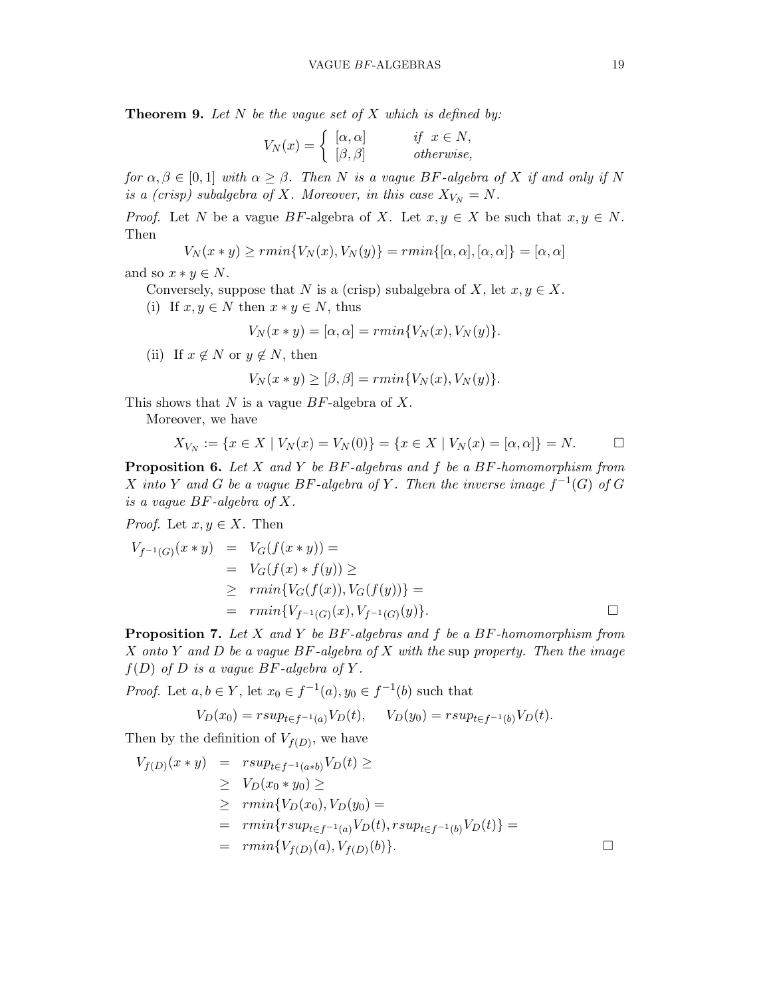**Theorem 9.** Let  $N$  be the vague set of  $X$  which is defined by:

$$
V_N(x) = \begin{cases} [\alpha, \alpha] & \text{if } x \in N, \\ [\beta, \beta] & \text{otherwise,} \end{cases}
$$

for  $\alpha, \beta \in [0,1]$  with  $\alpha \geq \beta$ . Then N is a vague BF-algebra of X if and only if N is a (crisp) subalgebra of X. Moreover, in this case  $X_{V_N} = N$ .

*Proof.* Let N be a vague BF-algebra of X. Let  $x, y \in X$  be such that  $x, y \in N$ . Then

$$
V_N(x * y) \ge rmin{V_N(x), V_N(y)} = rmin{[\alpha, \alpha], [\alpha, \alpha]} = [\alpha, \alpha]
$$

and so  $x * y \in N$ .

Conversely, suppose that N is a (crisp) subalgebra of X, let  $x, y \in X$ . (i) If  $x, y \in N$  then  $x * y \in N$ , thus

$$
V_N(x * y) = [\alpha, \alpha] = rmin\{V_N(x), V_N(y)\}.
$$

(ii) If  $x \notin N$  or  $y \notin N$ , then

$$
V_N(x * y) \geq [\beta, \beta] = rmin\{V_N(x), V_N(y)\}.
$$

This shows that  $N$  is a vague  $BF$ -algebra of  $X$ .

Moreover, we have

$$
X_{V_N} := \{ x \in X \mid V_N(x) = V_N(0) \} = \{ x \in X \mid V_N(x) = [\alpha, \alpha] \} = N. \square
$$

**Proposition 6.** Let X and Y be  $BF$ -algebras and f be a  $BF$ -homomorphism from X into Y and G be a vague BF-algebra of Y. Then the inverse image  $f^{-1}(G)$  of G is a vague BF-algebra of X.

*Proof.* Let  $x, y \in X$ . Then

$$
V_{f^{-1}(G)}(x * y) = V_G(f(x * y)) =
$$
  
=  $V_G(f(x) * f(y)) \ge$   
 $\ge \min\{V_G(f(x)), V_G(f(y))\} =$   
=  $\min\{V_{f^{-1}(G)}(x), V_{f^{-1}(G)}(y)\}.$ 

**Proposition 7.** Let X and Y be  $BF$ -algebras and f be a  $BF$ -homomorphism from  $X$  onto Y and D be a vague  $BF$ -algebra of X with the sup property. Then the image  $f(D)$  of D is a vague BF-algebra of Y.

*Proof.* Let  $a, b \in Y$ , let  $x_0 \in f^{-1}(a)$ ,  $y_0 \in f^{-1}(b)$  such that

$$
V_D(x_0) = r \sup_{t \in f^{-1}(a)} V_D(t), \quad V_D(y_0) = r \sup_{t \in f^{-1}(b)} V_D(t).
$$

Then by the definition of  $V_{f(D)}$ , we have

$$
V_{f(D)}(x * y) = r \sup_{t \in f^{-1}(a * b)} V_D(t) \ge
$$
  
\n
$$
\geq V_D(x_0 * y_0) \geq
$$
  
\n
$$
\geq r \min \{ V_D(x_0), V_D(y_0) =
$$
  
\n
$$
= r \min \{ r \sup_{t \in f^{-1}(a)} V_D(t), r \sup_{t \in f^{-1}(b)} V_D(t) \} =
$$
  
\n
$$
= r \min \{ V_{f(D)}(a), V_{f(D)}(b) \}.
$$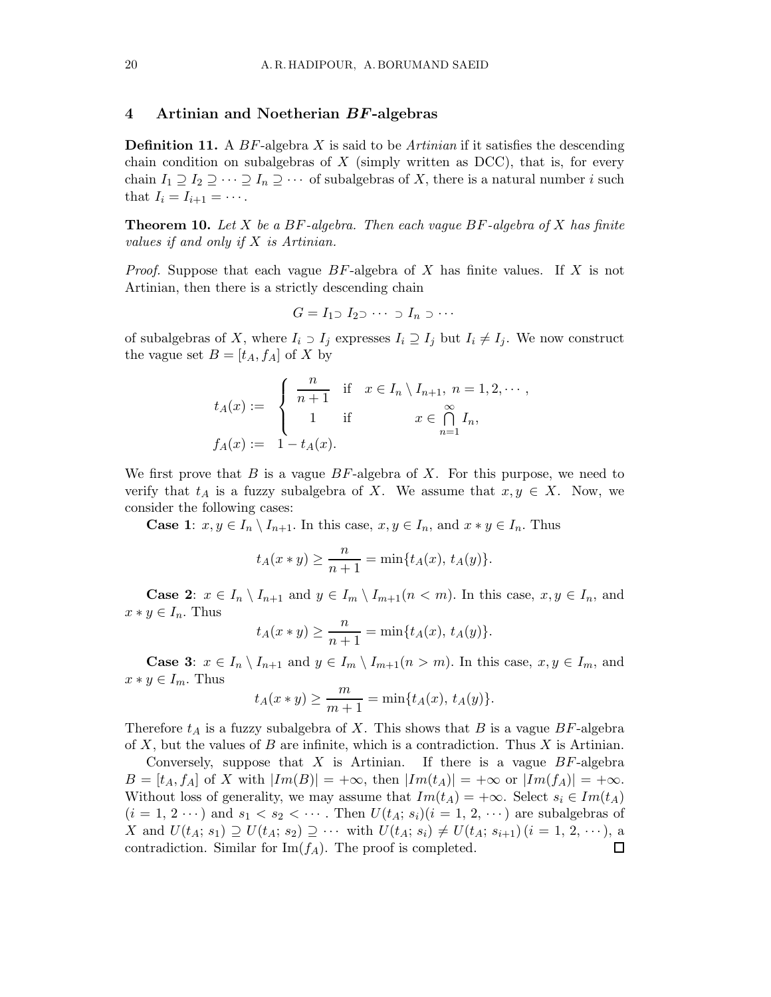# 4 Artinian and Noetherian BF-algebras

**Definition 11.** A  $BF$ -algebra X is said to be Artinian if it satisfies the descending chain condition on subalgebras of  $X$  (simply written as DCC), that is, for every chain  $I_1 \supseteq I_2 \supseteq \cdots \supseteq I_n \supseteq \cdots$  of subalgebras of X, there is a natural number i such that  $I_i = I_{i+1} = \cdots$ .

**Theorem 10.** Let X be a BF-algebra. Then each vague BF-algebra of X has finite values if and only if X is Artinian.

*Proof.* Suppose that each vague  $BF$ -algebra of X has finite values. If X is not Artinian, then there is a strictly descending chain

$$
G = I_1 \supset I_2 \supset \cdots \supset I_n \supset \cdots
$$

of subalgebras of X, where  $I_i \supset I_j$  expresses  $I_i \supseteq I_j$  but  $I_i \neq I_j$ . We now construct the vague set  $B = [t_A, f_A]$  of X by

$$
t_A(x) := \begin{cases} \frac{n}{n+1} & \text{if } x \in I_n \setminus I_{n+1}, \ n = 1, 2, \cdots, \\ 1 & \text{if } x \in \bigcap_{n=1}^\infty I_n, \\ 1 - t_A(x). \end{cases}
$$

We first prove that B is a vague  $BF$ -algebra of X. For this purpose, we need to verify that  $t_A$  is a fuzzy subalgebra of X. We assume that  $x, y \in X$ . Now, we consider the following cases:

**Case 1:**  $x, y \in I_n \setminus I_{n+1}$ . In this case,  $x, y \in I_n$ , and  $x * y \in I_n$ . Thus

$$
t_A(x * y) \ge \frac{n}{n+1} = \min\{t_A(x), t_A(y)\}.
$$

**Case 2:**  $x \in I_n \setminus I_{n+1}$  and  $y \in I_m \setminus I_{m+1}(n < m)$ . In this case,  $x, y \in I_n$ , and  $x * y \in I_n$ . Thus

$$
t_A(x * y) \ge \frac{n}{n+1} = \min\{t_A(x), t_A(y)\}.
$$

**Case 3:**  $x \in I_n \setminus I_{n+1}$  and  $y \in I_m \setminus I_{m+1}(n > m)$ . In this case,  $x, y \in I_m$ , and  $x * y \in I_m$ . Thus

$$
t_A(x * y) \ge \frac{m}{m+1} = \min\{t_A(x), t_A(y)\}.
$$

Therefore  $t_A$  is a fuzzy subalgebra of X. This shows that B is a vague BF-algebra of X, but the values of B are infinite, which is a contradiction. Thus X is Artinian.

Conversely, suppose that  $X$  is Artinian. If there is a vague  $BF$ -algebra  $B = [t_A, t_A]$  of X with  $|Im(B)| = +\infty$ , then  $|Im(t_A)| = +\infty$  or  $|Im(f_A)| = +\infty$ . Without loss of generality, we may assume that  $Im(t_A) = +\infty$ . Select  $s_i \in Im(t_A)$  $(i = 1, 2 \cdots)$  and  $s_1 < s_2 < \cdots$ . Then  $U(t_A; s_i)(i = 1, 2, \cdots)$  are subalgebras of X and  $U(t_A; s_1) \supseteq U(t_A; s_2) \supseteq \cdots$  with  $U(t_A; s_i) \neq U(t_A; s_{i+1})$   $(i = 1, 2, \cdots)$ , a contradiction. Similar for  $\text{Im}(f_A)$ . The proof is completed.  $\Box$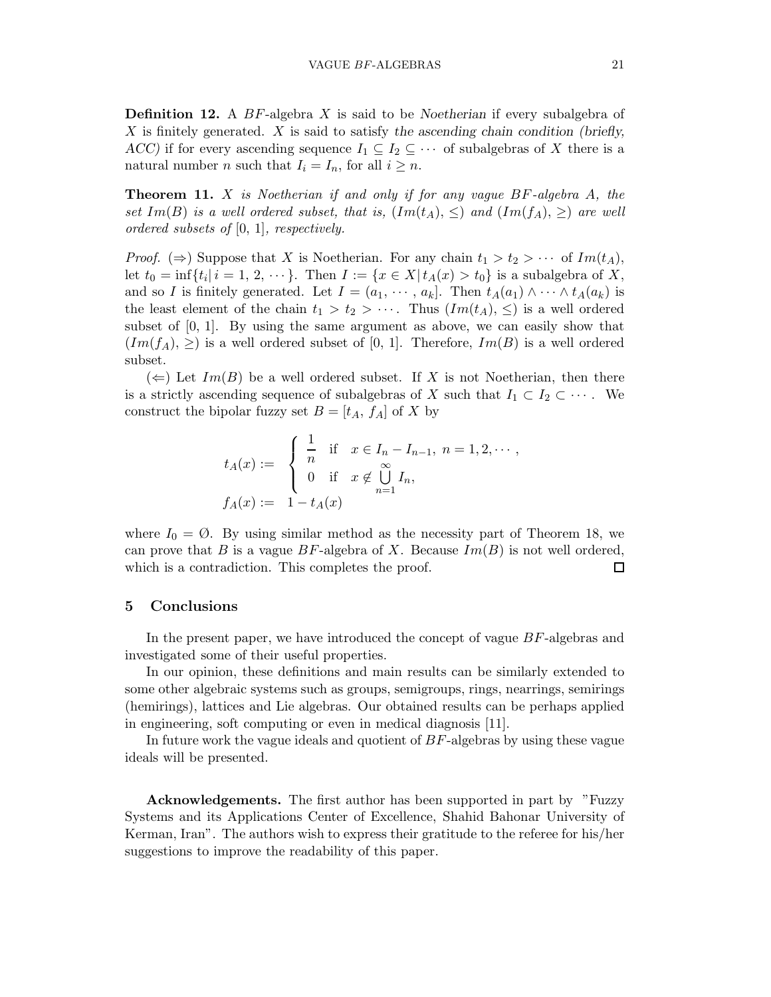**Definition 12.** A  $BF$ -algebra X is said to be Noetherian if every subalgebra of  $X$  is finitely generated.  $X$  is said to satisfy the ascending chain condition (briefly, ACC) if for every ascending sequence  $I_1 \subseteq I_2 \subseteq \cdots$  of subalgebras of X there is a natural number *n* such that  $I_i = I_n$ , for all  $i \geq n$ .

**Theorem 11.** X is Noetherian if and only if for any vague  $BF$ -algebra A, the set Im(B) is a well ordered subset, that is,  $(Im(t_A), \leq)$  and  $(Im(f_A), \geq)$  are well ordered subsets of [0, 1], respectively.

*Proof.* ( $\Rightarrow$ ) Suppose that X is Noetherian. For any chain  $t_1 > t_2 > \cdots$  of  $Im(t_A)$ , let  $t_0 = \inf\{t_i | i = 1, 2, \dots\}$ . Then  $I := \{x \in X | t_A(x) > t_0\}$  is a subalgebra of X, and so I is finitely generated. Let  $I = (a_1, \dots, a_k]$ . Then  $t_A(a_1) \wedge \dots \wedge t_A(a_k)$  is the least element of the chain  $t_1 > t_2 > \cdots$ . Thus  $(Im(t_A), \leq)$  is a well ordered subset of  $[0, 1]$ . By using the same argument as above, we can easily show that  $(Im(f_A), \geq)$  is a well ordered subset of [0, 1]. Therefore,  $Im(B)$  is a well ordered subset.

 $(\Leftarrow)$  Let  $Im(B)$  be a well ordered subset. If X is not Noetherian, then there is a strictly ascending sequence of subalgebras of X such that  $I_1 \subset I_2 \subset \cdots$ . We construct the bipolar fuzzy set  $B = [t_A, f_A]$  of X by

$$
t_A(x) := \begin{cases} \frac{1}{n} & \text{if } x \in I_n - I_{n-1}, n = 1, 2, \dots, \\ 0 & \text{if } x \notin \bigcup_{n=1}^{\infty} I_n, \\ f_A(x) & \text{if } x \notin \bigcup_{n=1}^{\infty} I_n, \end{cases}
$$

where  $I_0 = \emptyset$ . By using similar method as the necessity part of Theorem 18, we can prove that B is a vague BF-algebra of X. Because  $Im(B)$  is not well ordered, which is a contradiction. This completes the proof.  $\Box$ 

## 5 Conclusions

In the present paper, we have introduced the concept of vague BF-algebras and investigated some of their useful properties.

In our opinion, these definitions and main results can be similarly extended to some other algebraic systems such as groups, semigroups, rings, nearrings, semirings (hemirings), lattices and Lie algebras. Our obtained results can be perhaps applied in engineering, soft computing or even in medical diagnosis [11].

In future work the vague ideals and quotient of BF-algebras by using these vague ideals will be presented.

Acknowledgements. The first author has been supported in part by "Fuzzy Systems and its Applications Center of Excellence, Shahid Bahonar University of Kerman, Iran". The authors wish to express their gratitude to the referee for his/her suggestions to improve the readability of this paper.